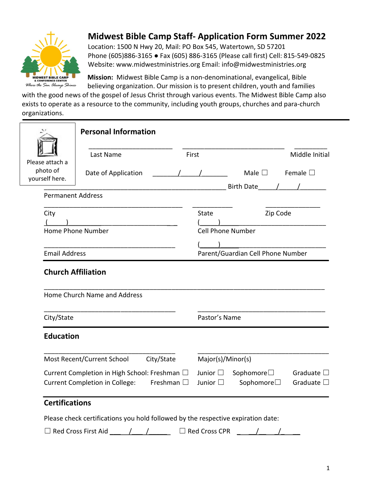

## Midwest Bible Camp Staff- Application Form Summer 2022

Location: 1500 N Hwy 20, Mail: PO Box 545, Watertown, SD 57201 Phone (605)886-3165 ● Fax (605) 886-3165 (Please call first) Cell: 815-549-0825 Website: www.midwestministries.org Email: info@midwestministries.org

Mission: Midwest Bible Camp is a non-denominational, evangelical, Bible believing organization. Our mission is to present children, youth and families

with the good news of the gospel of Jesus Christ through various events. The Midwest Bible Camp also exists to operate as a resource to the community, including youth groups, churches and para-church organizations.

|                                               | <b>Personal Information</b>                                                                                  |  |                                      |                                               |                                          |
|-----------------------------------------------|--------------------------------------------------------------------------------------------------------------|--|--------------------------------------|-----------------------------------------------|------------------------------------------|
|                                               | Last Name<br>First                                                                                           |  |                                      |                                               | Middle Initial                           |
| Please attach a<br>photo of<br>yourself here. | Date of Application                                                                                          |  |                                      | Male $\square$ Female $\square$<br>Birth Date |                                          |
| <b>Permanent Address</b>                      |                                                                                                              |  |                                      |                                               |                                          |
| City                                          |                                                                                                              |  | State                                | Zip Code                                      |                                          |
| Home Phone Number<br><b>Email Address</b>     |                                                                                                              |  | Cell Phone Number                    |                                               |                                          |
|                                               |                                                                                                              |  | Parent/Guardian Cell Phone Number    |                                               |                                          |
| Home Church Name and Address<br>City/State    |                                                                                                              |  | Pastor's Name                        |                                               |                                          |
| <b>Education</b>                              |                                                                                                              |  |                                      |                                               |                                          |
|                                               | Most Recent/Current School<br>City/State                                                                     |  | Major(s)/Minor(s)                    |                                               |                                          |
|                                               | Current Completion in High School: Freshman □<br>Freshman $\square$<br><b>Current Completion in College:</b> |  | Junior $\square$<br>Junior $\square$ | Sophomore $\square$<br>Sophomore□             | Graduate $\square$<br>Graduate $\square$ |
| <b>Certifications</b>                         | Please check certifications you hold followed by the respective expiration date:                             |  |                                      |                                               |                                          |
|                                               | $\Box$ Red Cross First Aid                                                                                   |  | $\Box$ Red Cross CPR                 |                                               |                                          |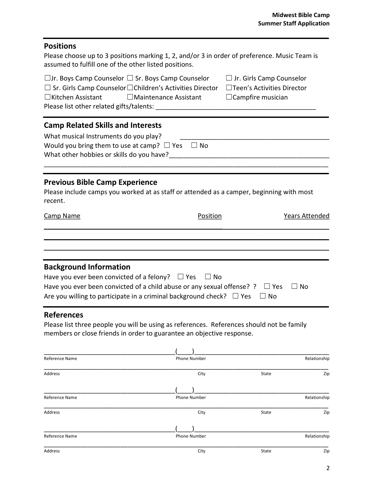# Positions Please choose up to 3 positions marking 1, 2, and/or 3 in order of preference. Music Team is assumed to fulfill one of the other listed positions.  $\square$ Jr. Boys Camp Counselor  $\square$  Sr. Boys Camp Counselor  $\square$  Jr. Girls Camp Counselor ☐ Sr. Girls Camp Counselor ☐Children's Activities Director ☐Teen's Activities Director ☐Kitchen Assistant ☐Maintenance Assistant ☐Campfire musician Please list other related gifts/talents: Camp Related Skills and Interests What musical Instruments do you play? Would you bring them to use at camp?  $\Box$  Yes  $\Box$  No What other hobbies or skills do you have? \_\_\_\_\_\_\_\_\_\_\_\_\_\_\_\_\_\_\_\_\_\_\_\_\_\_\_\_\_\_\_\_\_\_\_\_\_\_\_\_\_\_\_\_\_\_\_\_\_\_\_\_\_\_\_\_\_\_\_\_\_\_\_\_\_\_\_\_\_\_\_\_\_\_\_\_\_\_ Previous Bible Camp Experience Please include camps you worked at as staff or attended as a camper, beginning with most recent. **Camp Name Camp Name Position Position Position Position Years Attended**  $\overline{\phantom{a}}$  , and the contract of the contract of the contract of the contract of the contract of the contract of the contract of the contract of the contract of the contract of the contract of the contract of the contrac \_\_\_\_\_\_\_\_\_\_\_\_\_\_\_\_\_\_\_\_\_\_\_\_\_\_\_\_\_\_\_\_\_\_\_\_\_\_\_\_\_\_\_\_\_\_\_\_\_\_\_\_\_\_\_\_\_\_\_\_\_\_\_\_\_\_\_  $\mathcal{L}_\mathcal{L} = \mathcal{L}_\mathcal{L} = \mathcal{L}_\mathcal{L} = \mathcal{L}_\mathcal{L} = \mathcal{L}_\mathcal{L} = \mathcal{L}_\mathcal{L} = \mathcal{L}_\mathcal{L} = \mathcal{L}_\mathcal{L} = \mathcal{L}_\mathcal{L} = \mathcal{L}_\mathcal{L} = \mathcal{L}_\mathcal{L} = \mathcal{L}_\mathcal{L} = \mathcal{L}_\mathcal{L} = \mathcal{L}_\mathcal{L} = \mathcal{L}_\mathcal{L} = \mathcal{L}_\mathcal{L} = \mathcal{L}_\mathcal{L}$ Background Information Have you ever been convicted of a felony?  $\Box$  Yes  $\Box$  No Have you ever been convicted of a child abuse or any sexual offense? ?  $\Box$  Yes  $\Box$  No Are you willing to participate in a criminal background check?  $\Box$  Yes  $\Box$  No References

Please list three people you will be using as references. References should not be family members or close friends in order to guarantee an objective response.

| Reference Name | Phone Number |       | Relationship |
|----------------|--------------|-------|--------------|
| Address        | City         | State | Zip          |
|                |              |       |              |
| Reference Name | Phone Number |       | Relationship |
| Address        | City         | State | Zip          |
|                |              |       |              |
| Reference Name | Phone Number |       | Relationship |
| Address        | City         | State | Zip          |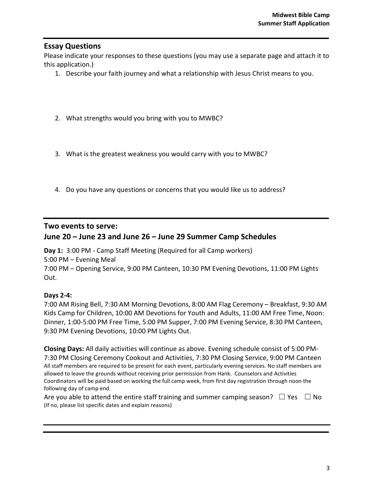### Essay Questions

Please indicate your responses to these questions (you may use a separate page and attach it to this application.)

- 1. Describe your faith journey and what a relationship with Jesus Christ means to you.
- 2. What strengths would you bring with you to MWBC?
- 3. What is the greatest weakness you would carry with you to MWBC?
- 4. Do you have any questions or concerns that you would like us to address?

#### Two events to serve:

### June 20 – June 23 and June 26 – June 29 Summer Camp Schedules

Day 1: 3:00 PM - Camp Staff Meeting (Required for all Camp workers)

5:00 PM – Evening Meal

7:00 PM – Opening Service, 9:00 PM Canteen, 10:30 PM Evening Devotions, 11:00 PM Lights Out.

#### Days 2-4:

7:00 AM Rising Bell, 7:30 AM Morning Devotions, 8:00 AM Flag Ceremony – Breakfast, 9:30 AM Kids Camp for Children, 10:00 AM Devotions for Youth and Adults, 11:00 AM Free Time, Noon: Dinner, 1:00-5:00 PM Free Time, 5:00 PM Supper, 7:00 PM Evening Service, 8:30 PM Canteen, 9:30 PM Evening Devotions, 10:00 PM Lights Out.

Closing Days: All daily activities will continue as above. Evening schedule consist of 5:00 PM-7:30 PM Closing Ceremony Cookout and Activities, 7:30 PM Closing Service, 9:00 PM Canteen All staff members are required to be present for each event, particularly evening services. No staff members are allowed to leave the grounds without receiving prior permission from Hank. Counselors and Activities Coordinators will be paid based on working the full camp week, from first day registration through noon the following day of camp end.

| Are you able to attend the entire staff training and summer camping season? $\square$ Yes $\square$ No |  |
|--------------------------------------------------------------------------------------------------------|--|
| (If no, please list specific dates and explain reasons)                                                |  |